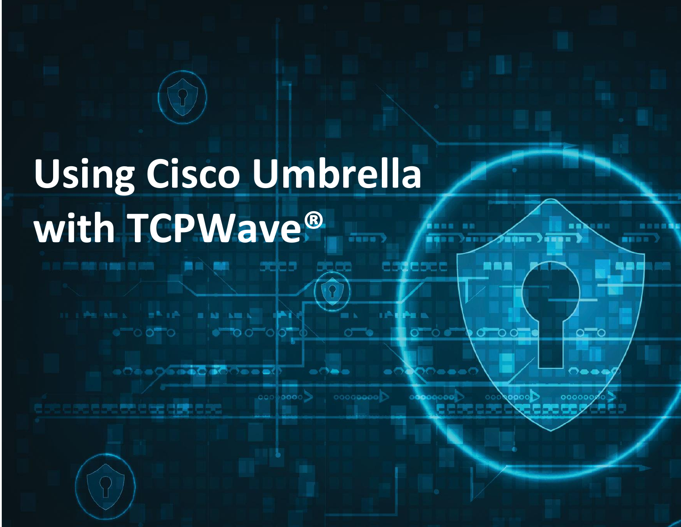# **Using Cisco Umbrella with TCPWave®** $\frac{1}{2}$

 $\circ$  00 0

THE PROGRAM CONTROL OF PARTIES. THE PARTY

ෙටි ගෙටි ගෙ**ඩි ග**ේටි ගෙන්ඩි

 $00000000$  $00000000$ 000000) e se e se e se ez e e ez elet e se 医巴巴巴巴巴巴

 $-$ 

**COLOR** 

scies seco

ాంలో

......

assabac

**CONTRACTOR** 

 $\sigma$  .  $\sigma$   $\sigma$ 

 $\n 0$ 

**TEXTER** 

地面画

**BRE** 

 $\circ$ 

 $\bullet\bullet\bullet$ 

. . .

**MAN** 

 $\bullet$   $\sigma$   $\circ$   $\circ$ 

 $10.0111$ 

■新曲線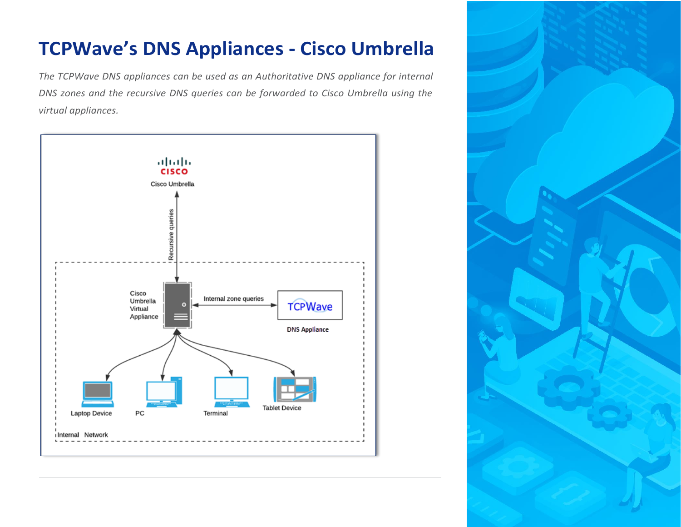# **TCPWave's DNS Appliances - Cisco Umbrella**

*The TCPWave DNS appliances can be used as an Authoritative DNS appliance for internal DNS zones and the recursive DNS queries can be forwarded to Cisco Umbrella using the virtual appliances.*



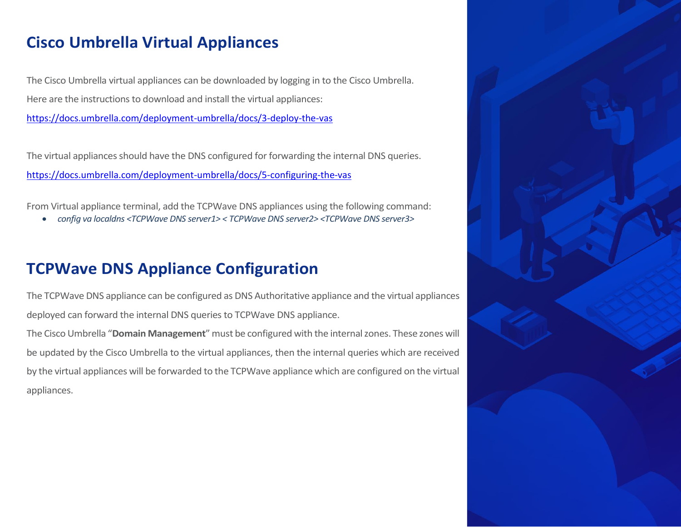#### **Cisco Umbrella Virtual Appliances**

The Cisco Umbrella virtual appliances can be downloaded by logging in to the Cisco Umbrella. Here are the instructions to download and install the virtual appliances: <https://docs.umbrella.com/deployment-umbrella/docs/3-deploy-the-vas>

The virtual appliances should have the DNS configured for forwarding the internal DNS queries. <https://docs.umbrella.com/deployment-umbrella/docs/5-configuring-the-vas>

From Virtual appliance terminal, add the TCPWave DNS appliances using the following command:

• *config va localdns <TCPWave DNS server1> < TCPWave DNS server2> <TCPWave DNS server3>*

#### **TCPWave DNS Appliance Configuration**

The TCPWave DNS appliance can be configured as DNS Authoritative appliance and the virtual appliances deployed can forward the internal DNS queries to TCPWave DNS appliance.

The Cisco Umbrella "**Domain Management**" must be configured with the internal zones. These zones will be updated by the Cisco Umbrella to the virtual appliances, then the internal queries which are received by the virtual appliances will be forwarded to the TCPWave appliance which are configured on the virtual appliances.

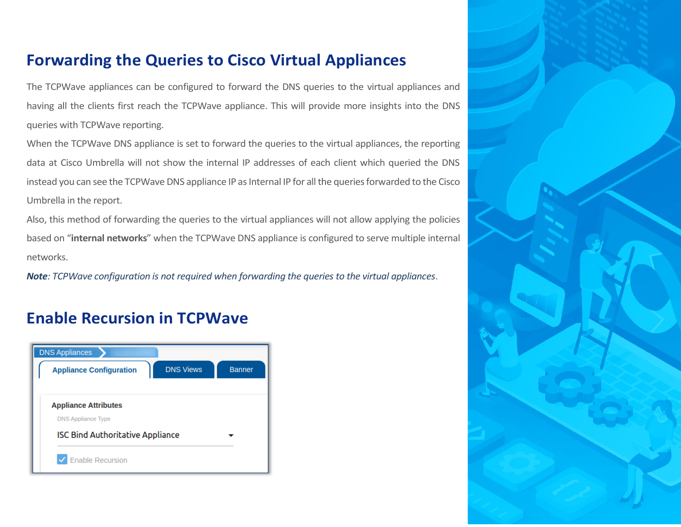#### **Forwarding the Queries to Cisco Virtual Appliances**

The TCPWave appliances can be configured to forward the DNS queries to the virtual appliances and having all the clients first reach the TCPWave appliance. This will provide more insights into the DNS queries with TCPWave reporting.

When the TCPWave DNS appliance is set to forward the queries to the virtual appliances, the reporting data at Cisco Umbrella will not show the internal IP addresses of each client which queried the DNS instead you can see the TCPWave DNS appliance IP as Internal IP for all the queries forwarded to the Cisco Umbrella in the report.

Also, this method of forwarding the queries to the virtual appliances will not allow applying the policies based on "**internal networks**" when the TCPWave DNS appliance is configured to serve multiple internal networks.

*Note: TCPWave configuration is not required when forwarding the queries to the virtual appliances*.

#### **Enable Recursion in TCPWave**



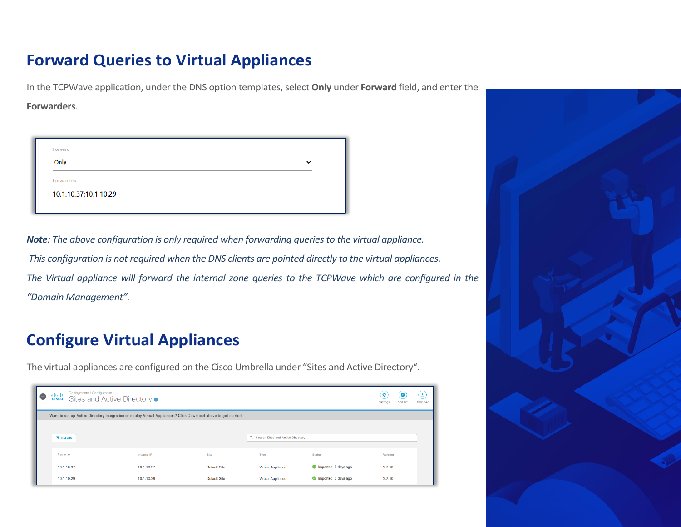#### **Forward Queries to Virtual Appliances**

In the TCPWave application, under the DNS option templates, select **Only** under **Forward** field, and enter the

**Forwarders**.

| Forward               |              |
|-----------------------|--------------|
| Only                  | $\checkmark$ |
| Forwarders            |              |
| 10.1.10.37;10.1.10.29 |              |

*Note: The above configuration is only required when forwarding queries to the virtual appliance. This configuration is not required when the DNS clients are pointed directly to the virtual appliances. The Virtual appliance will forward the internal zone queries to the TCPWave which are configured in the "Domain Management".*

## **Configure Virtual Appliances**

The virtual appliances are configured on the Cisco Umbrella under "Sites and Active Directory".

| Θ | Deployments / Configuration<br><b>Advalue</b><br>Sites and Active Directory o<br><b>CISCO</b>                  |             |                     |                                     |                      |                |  |  |
|---|----------------------------------------------------------------------------------------------------------------|-------------|---------------------|-------------------------------------|----------------------|----------------|--|--|
|   | Want to set up Active Directory integration or deploy Virtual Appliances? Click Download above to get started. |             |                     |                                     |                      |                |  |  |
|   | <b>FILTERS</b>                                                                                                 |             |                     | Q Search Sites and Active Directory |                      |                |  |  |
|   | Name $\Psi$                                                                                                    | Internal IP | Site                | <b>Type</b>                         | <b>Status</b>        | <b>Version</b> |  |  |
|   | 10.1.10.37                                                                                                     | 10.1.10.37  | <b>Default Site</b> | <b>Virtual Appliance</b>            | mported: 5 days ago  | 2.7.10         |  |  |
|   | 10.1.10.29                                                                                                     | 10.1.10.29  | <b>Default Site</b> | <b>Virtual Appliance</b>            | Imported: 5 days ago | 2.7.10         |  |  |

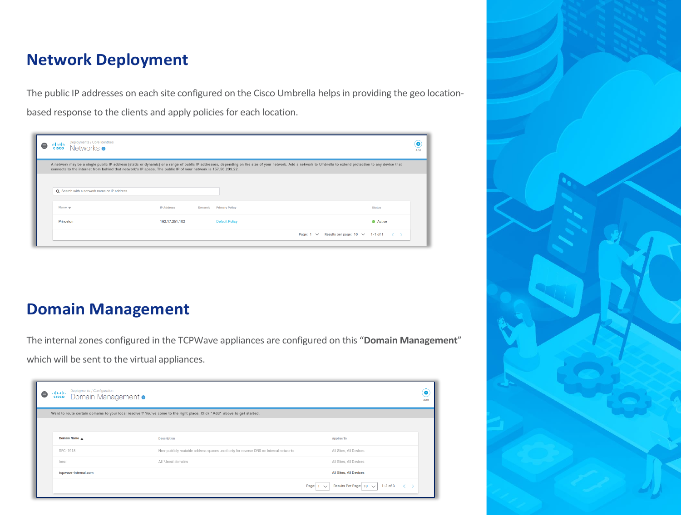#### **Network Deployment**

The public IP addresses on each site configured on the Cisco Umbrella helps in providing the geo locationbased response to the clients and apply policies for each location.

| e | Deployments / Core Identities<br>adraha.<br>Networks $\bullet$<br><b>CISCO</b> |                                                                                                               |                                  |                                                                                                                                                                                                             | $\bullet$<br>Add                                         |
|---|--------------------------------------------------------------------------------|---------------------------------------------------------------------------------------------------------------|----------------------------------|-------------------------------------------------------------------------------------------------------------------------------------------------------------------------------------------------------------|----------------------------------------------------------|
|   |                                                                                | connects to the internet from behind that network's IP space. The public IP of your network is 157.50.209.22. |                                  | A network may be a single public IP address (static or dynamic) or a range of public IP addresses, depending on the size of your network. Add a network to Umbrella to extend protection to any device that |                                                          |
|   | Q Search with a network name or IP address                                     |                                                                                                               |                                  |                                                                                                                                                                                                             |                                                          |
|   | Name $\mathbf$                                                                 | <b>IP Address</b>                                                                                             | <b>Primary Policy</b><br>Dynamic |                                                                                                                                                                                                             | <b>Status</b>                                            |
|   | Princeton                                                                      | 162.17.251.102                                                                                                | <b>Default Policy</b>            |                                                                                                                                                                                                             | Active                                                   |
|   |                                                                                |                                                                                                               |                                  | Page: $1 \vee$                                                                                                                                                                                              | Results per page: $10 \ \vee \ 1-1$ of $1 \ \vee \ \vee$ |

**Domain Management** 

The internal zones configured in the TCPWave appliances are configured on this "**Domain Management**" which will be sent to the virtual appliances.

| Ө | Deployments / Configuration<br>adroto -<br>Domain Management ·<br><b>CISCO</b> |                                                                                                                         |                                                                                                  | ٠<br>Add |
|---|--------------------------------------------------------------------------------|-------------------------------------------------------------------------------------------------------------------------|--------------------------------------------------------------------------------------------------|----------|
|   |                                                                                | Want to route certain domains to your local resolver? You've come to the right place. Click "Add" above to get started. |                                                                                                  |          |
|   |                                                                                |                                                                                                                         |                                                                                                  |          |
|   | Domain Name A                                                                  | <b>Description</b>                                                                                                      | <b>Applies To</b>                                                                                |          |
|   | RFC-1918                                                                       | Non-publicly routable address spaces used only for reverse DNS on internal networks                                     | All Sites, All Devices                                                                           |          |
|   | local                                                                          | All *.local domains                                                                                                     | All Sites, All Devices                                                                           |          |
|   | tcpwave-internal.com                                                           |                                                                                                                         | All Sites, All Devices                                                                           |          |
|   |                                                                                |                                                                                                                         | Results Per Page: $10 \sqrt{ }$<br>$1-3$ of $3$<br>Page:<br>$\langle \quad \rangle$<br>$\sqrt{}$ |          |

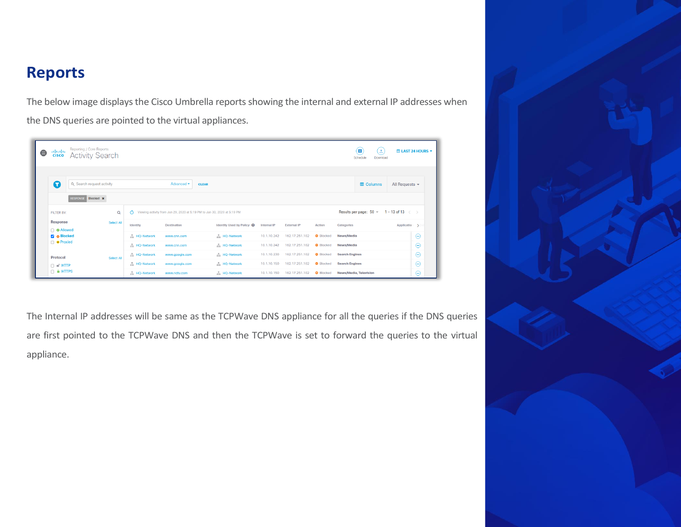#### **Reports**

The below image displays the Cisco Umbrella reports showing the internal and external IP addresses when the DNS queries are pointed to the virtual appliances.

| Reporting / Core Reports<br>alialia.<br><b>Activity Search</b><br><b>CISCO</b> |            |              |                                                                          |                           |             |                    | Œ<br>Schedule    | ٤<br>$m$ LAST 24 HOURS $\sim$<br>Download         |                                    |
|--------------------------------------------------------------------------------|------------|--------------|--------------------------------------------------------------------------|---------------------------|-------------|--------------------|------------------|---------------------------------------------------|------------------------------------|
| Q<br>Q Search request activity<br><b>RESPONSE</b>                              | Blocked x  |              | Advanced •                                                               | <b>CLEAR</b>              |             |                    |                  | <b>ED</b> Columns                                 | All Requests $\blacktriangleright$ |
| FILTER BY:                                                                     | $\alpha$   | $\triangle$  | Viewing activity from Jun 29, 2020 at 5:19 PM to Jun 30, 2020 at 5:19 PM |                           |             |                    |                  | Results per page: $50 \div 1 - 13$ of $13 \div 5$ |                                    |
| <b>Response</b><br>$\Box$ $\odot$ Allowed                                      | Select All | Identity     | <b>Destination</b>                                                       | Identity Used by Policy @ | Internal IP | <b>External IP</b> | Action           | Categories                                        | Application >                      |
| Blocked                                                                        |            | 品 HQ-Network | www.cnn.com                                                              | 品 HQ-Network              | 10.1.10.242 | 162.17.251.102     | <b>O</b> Blocked | News/Media                                        | $\odot$                            |
| $\Box$ $\bullet$ Proxied                                                       |            | 品 HQ-Network | www.cnn.com                                                              | 品 HQ-Network              | 10.1.10.242 | 162.17.251.102     | <b>O</b> Blocked | News/Media                                        | $\odot$                            |
| Protocol                                                                       | Select All | 品 HQ-Network | www.google.com                                                           | HQ-Network                | 10.1.10.230 | 162.17.251.102     | <b>O</b> Blocked | <b>Search Engines</b>                             | $\odot$                            |
| $\Box$ = $\Box$                                                                |            | 品 HQ-Network | www.google.com                                                           | 品 HQ-Network              | 10.1.10.150 | 162.17.251.102     | <b>O</b> Blocked | <b>Search Engines</b>                             | $\odot$                            |
| $\Box$ <b>A</b> HTTPS                                                          |            | 品 HQ-Network | www.ndtv.com                                                             | 品 HQ-Network              | 10.1.10.150 | 162.17.251.102     | <b>O</b> Blocked | News/Media, Television                            | $\odot$                            |

The Internal IP addresses will be same as the TCPWave DNS appliance for all the queries if the DNS queries are first pointed to the TCPWave DNS and then the TCPWave is set to forward the queries to the virtual appliance.